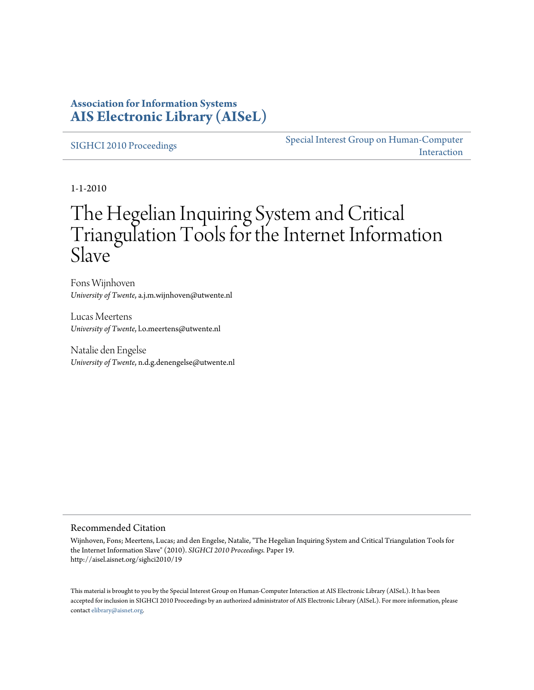### **Association for Information Systems [AIS Electronic Library \(AISeL\)](http://aisel.aisnet.org)**

[SIGHCI 2010 Proceedings](http://aisel.aisnet.org/sighci2010) [Special Interest Group on Human-Computer](http://aisel.aisnet.org/sighci) [Interaction](http://aisel.aisnet.org/sighci)

1-1-2010

# The Hegelian Inquiring System and Critical Triangulation Tools for the Internet Information Slave

Fons Wijnhoven *University of Twente*, a.j.m.wijnhoven@utwente.nl

Lucas Meertens *University of Twente*, l.o.meertens@utwente.nl

Natalie den Engelse *University of Twente*, n.d.g.denengelse@utwente.nl

#### Recommended Citation

Wijnhoven, Fons; Meertens, Lucas; and den Engelse, Natalie, "The Hegelian Inquiring System and Critical Triangulation Tools for the Internet Information Slave" (2010). *SIGHCI 2010 Proceedings.* Paper 19. http://aisel.aisnet.org/sighci2010/19

This material is brought to you by the Special Interest Group on Human-Computer Interaction at AIS Electronic Library (AISeL). It has been accepted for inclusion in SIGHCI 2010 Proceedings by an authorized administrator of AIS Electronic Library (AISeL). For more information, please contact [elibrary@aisnet.org.](mailto:elibrary@aisnet.org>)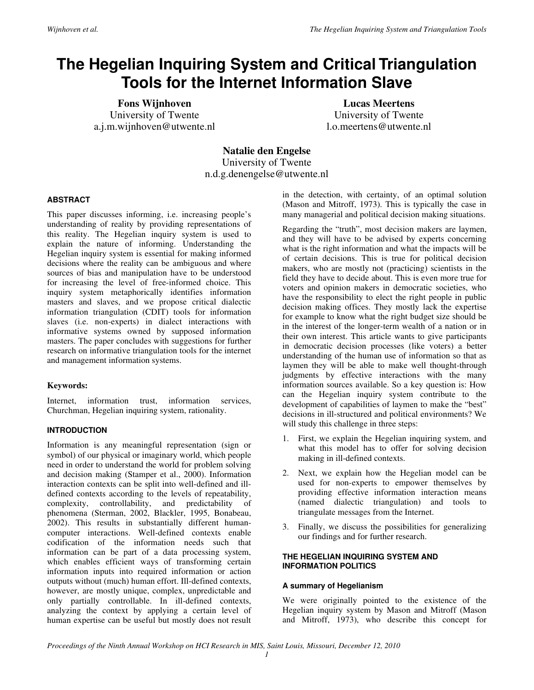## **The Hegelian Inquiring System and Critical Triangulation Tools for the Internet Information Slave**

**Fons Wijnhoven**  University of Twente a.j.m.wijnhoven@utwente.nl

**Lucas Meertens**  University of Twente l.o.meertens@utwente.nl

**Natalie den Engelse**  University of Twente n.d.g.denengelse@utwente.nl

#### **ABSTRACT**

This paper discusses informing, i.e. increasing people's understanding of reality by providing representations of this reality. The Hegelian inquiry system is used to explain the nature of informing. Understanding the Hegelian inquiry system is essential for making informed decisions where the reality can be ambiguous and where sources of bias and manipulation have to be understood for increasing the level of free-informed choice. This inquiry system metaphorically identifies information masters and slaves, and we propose critical dialectic information triangulation (CDIT) tools for information slaves (i.e. non-experts) in dialect interactions with informative systems owned by supposed information masters. The paper concludes with suggestions for further research on informative triangulation tools for the internet and management information systems.

#### **Keywords:**

Internet, information trust, information services, Churchman, Hegelian inquiring system, rationality.

#### **INTRODUCTION**

Information is any meaningful representation (sign or symbol) of our physical or imaginary world, which people need in order to understand the world for problem solving and decision making (Stamper et al., 2000). Information interaction contexts can be split into well-defined and illdefined contexts according to the levels of repeatability, complexity, controllability, and predictability of phenomena (Sterman, 2002, Blackler, 1995, Bonabeau, 2002). This results in substantially different humancomputer interactions. Well-defined contexts enable codification of the information needs such that information can be part of a data processing system, which enables efficient ways of transforming certain information inputs into required information or action outputs without (much) human effort. Ill-defined contexts, however, are mostly unique, complex, unpredictable and only partially controllable. In ill-defined contexts, analyzing the context by applying a certain level of human expertise can be useful but mostly does not result in the detection, with certainty, of an optimal solution (Mason and Mitroff, 1973). This is typically the case in many managerial and political decision making situations.

Regarding the "truth", most decision makers are laymen, and they will have to be advised by experts concerning what is the right information and what the impacts will be of certain decisions. This is true for political decision makers, who are mostly not (practicing) scientists in the field they have to decide about. This is even more true for voters and opinion makers in democratic societies, who have the responsibility to elect the right people in public decision making offices. They mostly lack the expertise for example to know what the right budget size should be in the interest of the longer-term wealth of a nation or in their own interest. This article wants to give participants in democratic decision processes (like voters) a better understanding of the human use of information so that as laymen they will be able to make well thought-through judgments by effective interactions with the many information sources available. So a key question is: How can the Hegelian inquiry system contribute to the development of capabilities of laymen to make the "best" decisions in ill-structured and political environments? We will study this challenge in three steps:

- 1. First, we explain the Hegelian inquiring system, and what this model has to offer for solving decision making in ill-defined contexts.
- 2. Next, we explain how the Hegelian model can be used for non-experts to empower themselves by providing effective information interaction means (named dialectic triangulation) and tools to triangulate messages from the Internet.
- 3. Finally, we discuss the possibilities for generalizing our findings and for further research.

#### **THE HEGELIAN INQUIRING SYSTEM AND INFORMATION POLITICS**

#### **A summary of Hegelianism**

We were originally pointed to the existence of the Hegelian inquiry system by Mason and Mitroff (Mason and Mitroff, 1973), who describe this concept for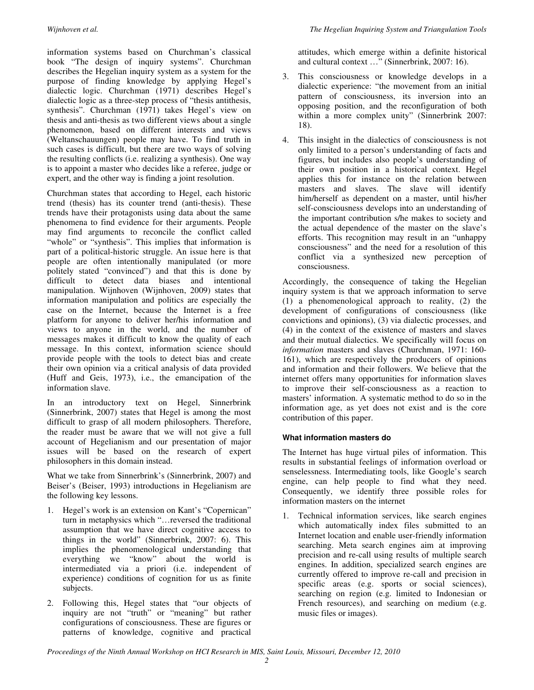information systems based on Churchman's classical book "The design of inquiry systems". Churchman describes the Hegelian inquiry system as a system for the purpose of finding knowledge by applying Hegel's dialectic logic. Churchman (1971) describes Hegel's dialectic logic as a three-step process of "thesis antithesis, synthesis". Churchman (1971) takes Hegel's view on thesis and anti-thesis as two different views about a single phenomenon, based on different interests and views (Weltanschauungen) people may have. To find truth in such cases is difficult, but there are two ways of solving the resulting conflicts (i.e. realizing a synthesis). One way is to appoint a master who decides like a referee, judge or expert, and the other way is finding a joint resolution.

Churchman states that according to Hegel, each historic trend (thesis) has its counter trend (anti-thesis). These trends have their protagonists using data about the same phenomena to find evidence for their arguments. People may find arguments to reconcile the conflict called "whole" or "synthesis". This implies that information is part of a political-historic struggle. An issue here is that people are often intentionally manipulated (or more politely stated "convinced") and that this is done by difficult to detect data biases and intentional manipulation. Wijnhoven (Wijnhoven, 2009) states that information manipulation and politics are especially the case on the Internet, because the Internet is a free platform for anyone to deliver her/his information and views to anyone in the world, and the number of messages makes it difficult to know the quality of each message. In this context, information science should provide people with the tools to detect bias and create their own opinion via a critical analysis of data provided (Huff and Geis, 1973), i.e., the emancipation of the information slave.

In an introductory text on Hegel, Sinnerbrink (Sinnerbrink, 2007) states that Hegel is among the most difficult to grasp of all modern philosophers. Therefore, the reader must be aware that we will not give a full account of Hegelianism and our presentation of major issues will be based on the research of expert philosophers in this domain instead.

What we take from Sinnerbrink's (Sinnerbrink, 2007) and Beiser's (Beiser, 1993) introductions in Hegelianism are the following key lessons.

- 1. Hegel's work is an extension on Kant's "Copernican" turn in metaphysics which "…reversed the traditional assumption that we have direct cognitive access to things in the world" (Sinnerbrink, 2007: 6). This implies the phenomenological understanding that everything we "know" about the world is intermediated via a priori (i.e. independent of experience) conditions of cognition for us as finite subjects.
- 2. Following this, Hegel states that "our objects of inquiry are not "truth" or "meaning" but rather configurations of consciousness. These are figures or patterns of knowledge, cognitive and practical

attitudes, which emerge within a definite historical and cultural context …" (Sinnerbrink, 2007: 16).

- 3. This consciousness or knowledge develops in a dialectic experience: "the movement from an initial pattern of consciousness, its inversion into an opposing position, and the reconfiguration of both within a more complex unity" (Sinnerbrink 2007: 18).
- 4. This insight in the dialectics of consciousness is not only limited to a person's understanding of facts and figures, but includes also people's understanding of their own position in a historical context. Hegel applies this for instance on the relation between masters and slaves. The slave will identify him/herself as dependent on a master, until his/her self-consciousness develops into an understanding of the important contribution s/he makes to society and the actual dependence of the master on the slave's efforts. This recognition may result in an "unhappy consciousness" and the need for a resolution of this conflict via a synthesized new perception of consciousness.

Accordingly, the consequence of taking the Hegelian inquiry system is that we approach information to serve (1) a phenomenological approach to reality, (2) the development of configurations of consciousness (like convictions and opinions), (3) via dialectic processes, and (4) in the context of the existence of masters and slaves and their mutual dialectics. We specifically will focus on *information* masters and slaves (Churchman, 1971: 160- 161), which are respectively the producers of opinions and information and their followers. We believe that the internet offers many opportunities for information slaves to improve their self-consciousness as a reaction to masters' information. A systematic method to do so in the information age, as yet does not exist and is the core contribution of this paper.

#### **What information masters do**

The Internet has huge virtual piles of information. This results in substantial feelings of information overload or senselessness. Intermediating tools, like Google's search engine, can help people to find what they need. Consequently, we identify three possible roles for information masters on the internet

1. Technical information services, like search engines which automatically index files submitted to an Internet location and enable user-friendly information searching. Meta search engines aim at improving precision and re-call using results of multiple search engines. In addition, specialized search engines are currently offered to improve re-call and precision in specific areas (e.g. sports or social sciences), searching on region (e.g. limited to Indonesian or French resources), and searching on medium (e.g. music files or images).

*Proceedings of the Ninth Annual Workshop on HCI Research in MIS, Saint Louis, Missouri, December 12, 2010*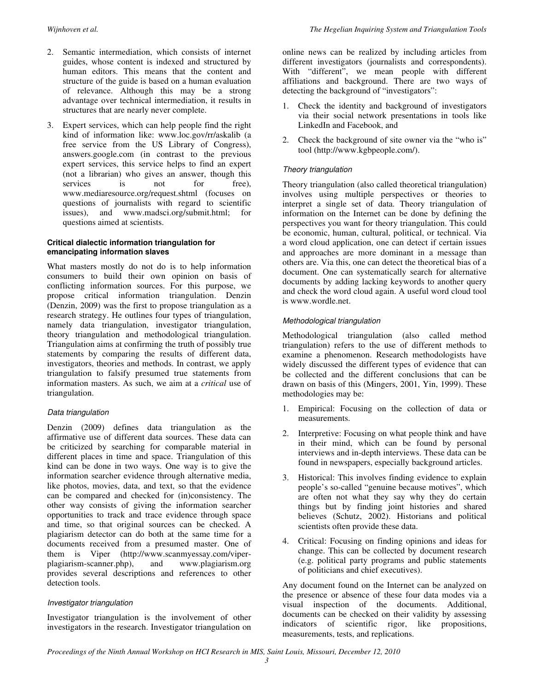- 2. Semantic intermediation, which consists of internet guides, whose content is indexed and structured by human editors. This means that the content and structure of the guide is based on a human evaluation of relevance. Although this may be a strong advantage over technical intermediation, it results in structures that are nearly never complete.
- 3. Expert services, which can help people find the right kind of information like: www.loc.gov/rr/askalib (a free service from the US Library of Congress), answers.google.com (in contrast to the previous expert services, this service helps to find an expert (not a librarian) who gives an answer, though this services is not for free), www.mediaresource.org/request.shtml (focuses on questions of journalists with regard to scientific issues), and www.madsci.org/submit.html; for questions aimed at scientists.

#### **Critical dialectic information triangulation for emancipating information slaves**

What masters mostly do not do is to help information consumers to build their own opinion on basis of conflicting information sources. For this purpose, we propose critical information triangulation. Denzin (Denzin, 2009) was the first to propose triangulation as a research strategy. He outlines four types of triangulation, namely data triangulation, investigator triangulation, theory triangulation and methodological triangulation. Triangulation aims at confirming the truth of possibly true statements by comparing the results of different data, investigators, theories and methods. In contrast, we apply triangulation to falsify presumed true statements from information masters. As such, we aim at a *critical* use of triangulation.

#### Data triangulation

Denzin (2009) defines data triangulation as the affirmative use of different data sources. These data can be criticized by searching for comparable material in different places in time and space. Triangulation of this kind can be done in two ways. One way is to give the information searcher evidence through alternative media, like photos, movies, data, and text, so that the evidence can be compared and checked for (in)consistency. The other way consists of giving the information searcher opportunities to track and trace evidence through space and time, so that original sources can be checked. A plagiarism detector can do both at the same time for a documents received from a presumed master. One of them is Viper (http://www.scanmyessay.com/viperplagiarism-scanner.php), and www.plagiarism.org provides several descriptions and references to other detection tools.

#### Investigator triangulation

Investigator triangulation is the involvement of other investigators in the research. Investigator triangulation on online news can be realized by including articles from different investigators (journalists and correspondents). With "different", we mean people with different affiliations and background. There are two ways of detecting the background of "investigators":

- 1. Check the identity and background of investigators via their social network presentations in tools like LinkedIn and Facebook, and
- 2. Check the background of site owner via the "who is" tool (http://www.kgbpeople.com/).

#### Theory triangulation

Theory triangulation (also called theoretical triangulation) involves using multiple perspectives or theories to interpret a single set of data. Theory triangulation of information on the Internet can be done by defining the perspectives you want for theory triangulation. This could be economic, human, cultural, political, or technical. Via a word cloud application, one can detect if certain issues and approaches are more dominant in a message than others are. Via this, one can detect the theoretical bias of a document. One can systematically search for alternative documents by adding lacking keywords to another query and check the word cloud again. A useful word cloud tool is www.wordle.net.

#### Methodological triangulation

Methodological triangulation (also called method triangulation) refers to the use of different methods to examine a phenomenon. Research methodologists have widely discussed the different types of evidence that can be collected and the different conclusions that can be drawn on basis of this (Mingers, 2001, Yin, 1999). These methodologies may be:

- 1. Empirical: Focusing on the collection of data or measurements.
- 2. Interpretive: Focusing on what people think and have in their mind, which can be found by personal interviews and in-depth interviews. These data can be found in newspapers, especially background articles.
- 3. Historical: This involves finding evidence to explain people's so-called "genuine because motives", which are often not what they say why they do certain things but by finding joint histories and shared believes (Schutz, 2002). Historians and political scientists often provide these data.
- 4. Critical: Focusing on finding opinions and ideas for change. This can be collected by document research (e.g. political party programs and public statements of politicians and chief executives).

Any document found on the Internet can be analyzed on the presence or absence of these four data modes via a visual inspection of the documents. Additional, documents can be checked on their validity by assessing indicators of scientific rigor, like propositions, measurements, tests, and replications.

*Proceedings of the Ninth Annual Workshop on HCI Research in MIS, Saint Louis, Missouri, December 12, 2010*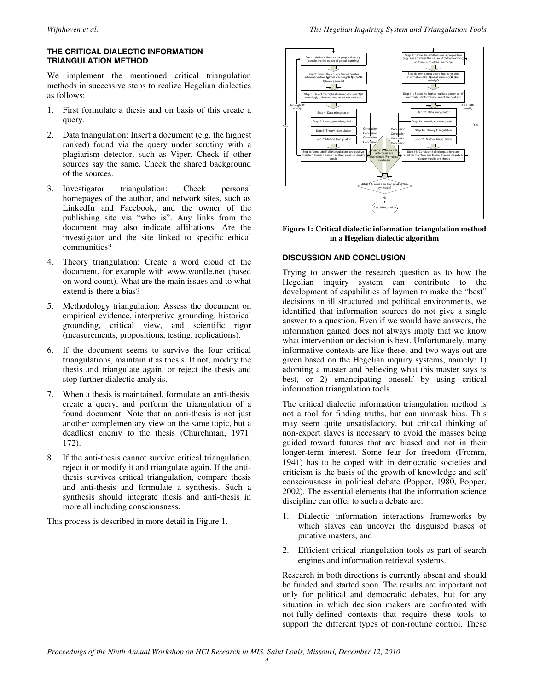#### **THE CRITICAL DIALECTIC INFORMATION TRIANGULATION METHOD**

We implement the mentioned critical triangulation methods in successive steps to realize Hegelian dialectics as follows:

- 1. First formulate a thesis and on basis of this create a query.
- 2. Data triangulation: Insert a document (e.g. the highest ranked) found via the query under scrutiny with a plagiarism detector, such as Viper. Check if other sources say the same. Check the shared background of the sources.
- 3. Investigator triangulation: Check personal homepages of the author, and network sites, such as LinkedIn and Facebook, and the owner of the publishing site via "who is". Any links from the document may also indicate affiliations. Are the investigator and the site linked to specific ethical communities?
- Theory triangulation: Create a word cloud of the document, for example with www.wordle.net (based on word count). What are the main issues and to what extend is there a bias?
- 5. Methodology triangulation: Assess the document on empirical evidence, interpretive grounding, historical grounding, critical view, and scientific rigor (measurements, propositions, testing, replications).
- 6. If the document seems to survive the four critical triangulations, maintain it as thesis. If not, modify the thesis and triangulate again, or reject the thesis and stop further dialectic analysis.
- 7. When a thesis is maintained, formulate an anti-thesis, create a query, and perform the triangulation of a found document. Note that an anti-thesis is not just another complementary view on the same topic, but a deadliest enemy to the thesis (Churchman, 1971: 172).
- 8. If the anti-thesis cannot survive critical triangulation, reject it or modify it and triangulate again. If the antithesis survives critical triangulation, compare thesis and anti-thesis and formulate a synthesis. Such a synthesis should integrate thesis and anti-thesis in more all including consciousness.

This process is described in more detail in Figure 1.



**Figure 1: Critical dialectic information triangulation method in a Hegelian dialectic algorithm** 

#### **DISCUSSION AND CONCLUSION**

Trying to answer the research question as to how the Hegelian inquiry system can contribute to the development of capabilities of laymen to make the "best" decisions in ill structured and political environments, we identified that information sources do not give a single answer to a question. Even if we would have answers, the information gained does not always imply that we know what intervention or decision is best. Unfortunately, many informative contexts are like these, and two ways out are given based on the Hegelian inquiry systems, namely: 1) adopting a master and believing what this master says is best, or 2) emancipating oneself by using critical information triangulation tools.

The critical dialectic information triangulation method is not a tool for finding truths, but can unmask bias. This may seem quite unsatisfactory, but critical thinking of non-expert slaves is necessary to avoid the masses being guided toward futures that are biased and not in their longer-term interest. Some fear for freedom (Fromm, 1941) has to be coped with in democratic societies and criticism is the basis of the growth of knowledge and self consciousness in political debate (Popper, 1980, Popper, 2002). The essential elements that the information science discipline can offer to such a debate are:

- 1. Dialectic information interactions frameworks by which slaves can uncover the disguised biases of putative masters, and
- 2. Efficient critical triangulation tools as part of search engines and information retrieval systems.

Research in both directions is currently absent and should be funded and started soon. The results are important not only for political and democratic debates, but for any situation in which decision makers are confronted with not-fully-defined contexts that require these tools to support the different types of non-routine control. These